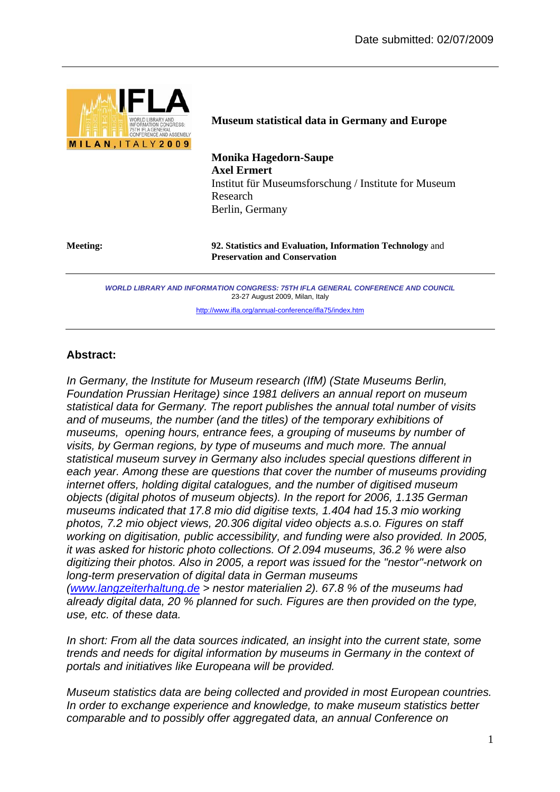

**Museum statistical data in Germany and Europe** 

**Monika Hagedorn-Saupe Axel Ermert**  Institut für Museumsforschung / Institute for Museum Research Berlin, Germany

**Meeting: 92. Statistics and Evaluation, Information Technology** and **Preservation and Conservation**

> *WORLD LIBRARY AND INFORMATION CONGRESS: 75TH IFLA GENERAL CONFERENCE AND COUNCIL*  23-27 August 2009, Milan, Italy

> > http://www.ifla.org/annual-conference/ifla75/index.htm

## **Abstract:**

*In Germany, the Institute for Museum research (IfM) (State Museums Berlin, Foundation Prussian Heritage) since 1981 delivers an annual report on museum statistical data for Germany. The report publishes the annual total number of visits and of museums, the number (and the titles) of the temporary exhibitions of museums, opening hours, entrance fees, a grouping of museums by number of visits, by German regions, by type of museums and much more. The annual statistical museum survey in Germany also includes special questions different in*  each year. Among these are questions that cover the number of museums providing *internet offers, holding digital catalogues, and the number of digitised museum objects (digital photos of museum objects). In the report for 2006, 1.135 German museums indicated that 17.8 mio did digitise texts, 1.404 had 15.3 mio working photos, 7.2 mio object views, 20.306 digital video objects a.s.o. Figures on staff working on digitisation, public accessibility, and funding were also provided. In 2005, it was asked for historic photo collections. Of 2.094 museums, 36.2 % were also digitizing their photos. Also in 2005, a report was issued for the "nestor"-network on long-term preservation of digital data in German museums (www.langzeiterhaltung.de > nestor materialien 2). 67.8 % of the museums had already digital data, 20 % planned for such. Figures are then provided on the type,* 

*use, etc. of these data.* 

*In short: From all the data sources indicated, an insight into the current state, some trends and needs for digital information by museums in Germany in the context of portals and initiatives like Europeana will be provided.* 

*Museum statistics data are being collected and provided in most European countries. In order to exchange experience and knowledge, to make museum statistics better comparable and to possibly offer aggregated data, an annual Conference on*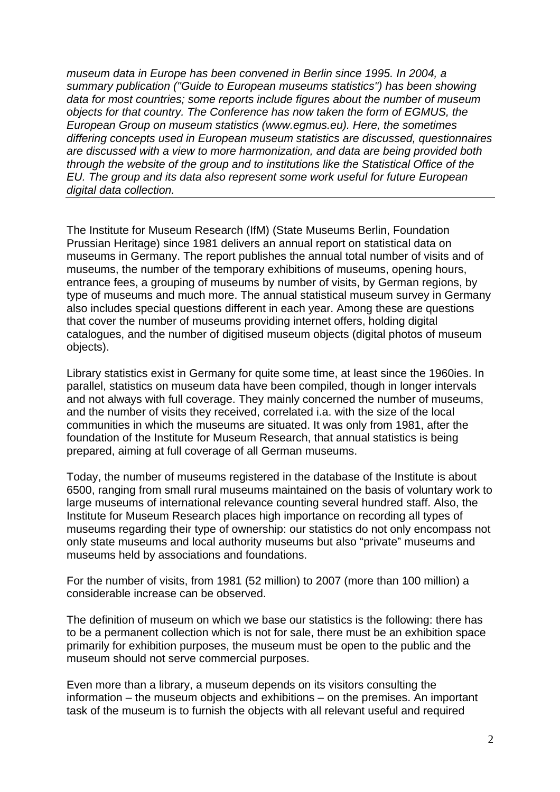*museum data in Europe has been convened in Berlin since 1995. In 2004, a summary publication ("Guide to European museums statistics") has been showing data for most countries; some reports include figures about the number of museum objects for that country. The Conference has now taken the form of EGMUS, the European Group on museum statistics (www.egmus.eu). Here, the sometimes differing concepts used in European museum statistics are discussed, questionnaires are discussed with a view to more harmonization, and data are being provided both through the website of the group and to institutions like the Statistical Office of the EU. The group and its data also represent some work useful for future European digital data collection.* 

The Institute for Museum Research (IfM) (State Museums Berlin, Foundation Prussian Heritage) since 1981 delivers an annual report on statistical data on museums in Germany. The report publishes the annual total number of visits and of museums, the number of the temporary exhibitions of museums, opening hours, entrance fees, a grouping of museums by number of visits, by German regions, by type of museums and much more. The annual statistical museum survey in Germany also includes special questions different in each year. Among these are questions that cover the number of museums providing internet offers, holding digital catalogues, and the number of digitised museum objects (digital photos of museum objects).

Library statistics exist in Germany for quite some time, at least since the 1960ies. In parallel, statistics on museum data have been compiled, though in longer intervals and not always with full coverage. They mainly concerned the number of museums, and the number of visits they received, correlated i.a. with the size of the local communities in which the museums are situated. It was only from 1981, after the foundation of the Institute for Museum Research, that annual statistics is being prepared, aiming at full coverage of all German museums.

Today, the number of museums registered in the database of the Institute is about 6500, ranging from small rural museums maintained on the basis of voluntary work to large museums of international relevance counting several hundred staff. Also, the Institute for Museum Research places high importance on recording all types of museums regarding their type of ownership: our statistics do not only encompass not only state museums and local authority museums but also "private" museums and museums held by associations and foundations.

For the number of visits, from 1981 (52 million) to 2007 (more than 100 million) a considerable increase can be observed.

The definition of museum on which we base our statistics is the following: there has to be a permanent collection which is not for sale, there must be an exhibition space primarily for exhibition purposes, the museum must be open to the public and the museum should not serve commercial purposes.

Even more than a library, a museum depends on its visitors consulting the information – the museum objects and exhibitions – on the premises. An important task of the museum is to furnish the objects with all relevant useful and required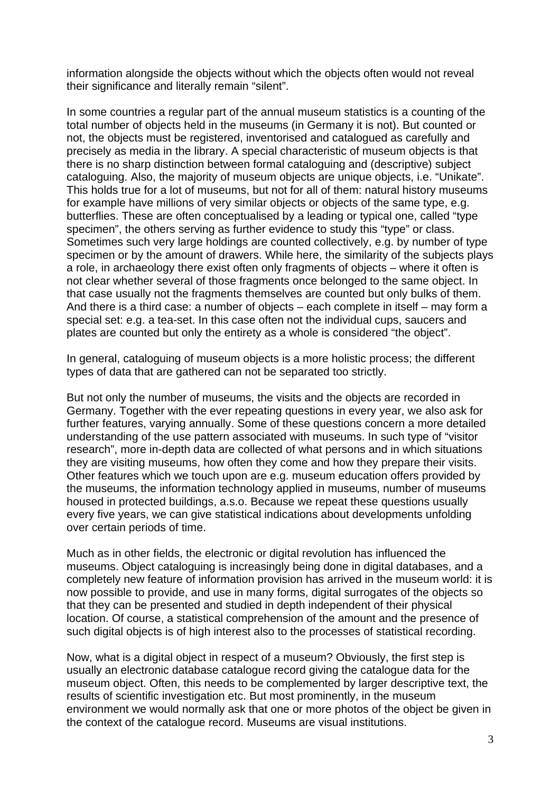information alongside the objects without which the objects often would not reveal their significance and literally remain "silent".

In some countries a regular part of the annual museum statistics is a counting of the total number of objects held in the museums (in Germany it is not). But counted or not, the objects must be registered, inventorised and catalogued as carefully and precisely as media in the library. A special characteristic of museum objects is that there is no sharp distinction between formal cataloguing and (descriptive) subject cataloguing. Also, the majority of museum objects are unique objects, i.e. "Unikate". This holds true for a lot of museums, but not for all of them: natural history museums for example have millions of very similar objects or objects of the same type, e.g. butterflies. These are often conceptualised by a leading or typical one, called "type specimen", the others serving as further evidence to study this "type" or class. Sometimes such very large holdings are counted collectively, e.g. by number of type specimen or by the amount of drawers. While here, the similarity of the subjects plays a role, in archaeology there exist often only fragments of objects – where it often is not clear whether several of those fragments once belonged to the same object. In that case usually not the fragments themselves are counted but only bulks of them. And there is a third case: a number of objects – each complete in itself – may form a special set: e.g. a tea-set. In this case often not the individual cups, saucers and plates are counted but only the entirety as a whole is considered "the object".

In general, cataloguing of museum objects is a more holistic process; the different types of data that are gathered can not be separated too strictly.

But not only the number of museums, the visits and the objects are recorded in Germany. Together with the ever repeating questions in every year, we also ask for further features, varying annually. Some of these questions concern a more detailed understanding of the use pattern associated with museums. In such type of "visitor research", more in-depth data are collected of what persons and in which situations they are visiting museums, how often they come and how they prepare their visits. Other features which we touch upon are e.g. museum education offers provided by the museums, the information technology applied in museums, number of museums housed in protected buildings, a.s.o. Because we repeat these questions usually every five years, we can give statistical indications about developments unfolding over certain periods of time.

Much as in other fields, the electronic or digital revolution has influenced the museums. Object cataloguing is increasingly being done in digital databases, and a completely new feature of information provision has arrived in the museum world: it is now possible to provide, and use in many forms, digital surrogates of the objects so that they can be presented and studied in depth independent of their physical location. Of course, a statistical comprehension of the amount and the presence of such digital objects is of high interest also to the processes of statistical recording.

Now, what is a digital object in respect of a museum? Obviously, the first step is usually an electronic database catalogue record giving the catalogue data for the museum object. Often, this needs to be complemented by larger descriptive text, the results of scientific investigation etc. But most prominently, in the museum environment we would normally ask that one or more photos of the object be given in the context of the catalogue record. Museums are visual institutions.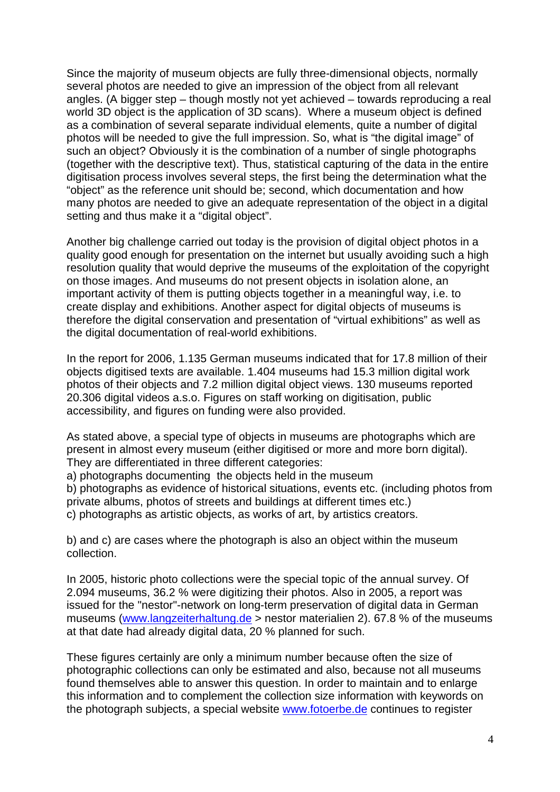Since the majority of museum objects are fully three-dimensional objects, normally several photos are needed to give an impression of the object from all relevant angles. (A bigger step – though mostly not yet achieved – towards reproducing a real world 3D object is the application of 3D scans). Where a museum object is defined as a combination of several separate individual elements, quite a number of digital photos will be needed to give the full impression. So, what is "the digital image" of such an object? Obviously it is the combination of a number of single photographs (together with the descriptive text). Thus, statistical capturing of the data in the entire digitisation process involves several steps, the first being the determination what the "object" as the reference unit should be; second, which documentation and how many photos are needed to give an adequate representation of the object in a digital setting and thus make it a "digital object".

Another big challenge carried out today is the provision of digital object photos in a quality good enough for presentation on the internet but usually avoiding such a high resolution quality that would deprive the museums of the exploitation of the copyright on those images. And museums do not present objects in isolation alone, an important activity of them is putting objects together in a meaningful way, i.e. to create display and exhibitions. Another aspect for digital objects of museums is therefore the digital conservation and presentation of "virtual exhibitions" as well as the digital documentation of real-world exhibitions.

In the report for 2006, 1.135 German museums indicated that for 17.8 million of their objects digitised texts are available. 1.404 museums had 15.3 million digital work photos of their objects and 7.2 million digital object views. 130 museums reported 20.306 digital videos a.s.o. Figures on staff working on digitisation, public accessibility, and figures on funding were also provided.

As stated above, a special type of objects in museums are photographs which are present in almost every museum (either digitised or more and more born digital). They are differentiated in three different categories:

a) photographs documenting the objects held in the museum

b) photographs as evidence of historical situations, events etc. (including photos from private albums, photos of streets and buildings at different times etc.)

c) photographs as artistic objects, as works of art, by artistics creators.

b) and c) are cases where the photograph is also an object within the museum collection.

In 2005, historic photo collections were the special topic of the annual survey. Of 2.094 museums, 36.2 % were digitizing their photos. Also in 2005, a report was issued for the "nestor"-network on long-term preservation of digital data in German museums (www.langzeiterhaltung.de > nestor materialien 2). 67.8 % of the museums at that date had already digital data, 20 % planned for such.

These figures certainly are only a minimum number because often the size of photographic collections can only be estimated and also, because not all museums found themselves able to answer this question. In order to maintain and to enlarge this information and to complement the collection size information with keywords on the photograph subjects, a special website www.fotoerbe.de continues to register